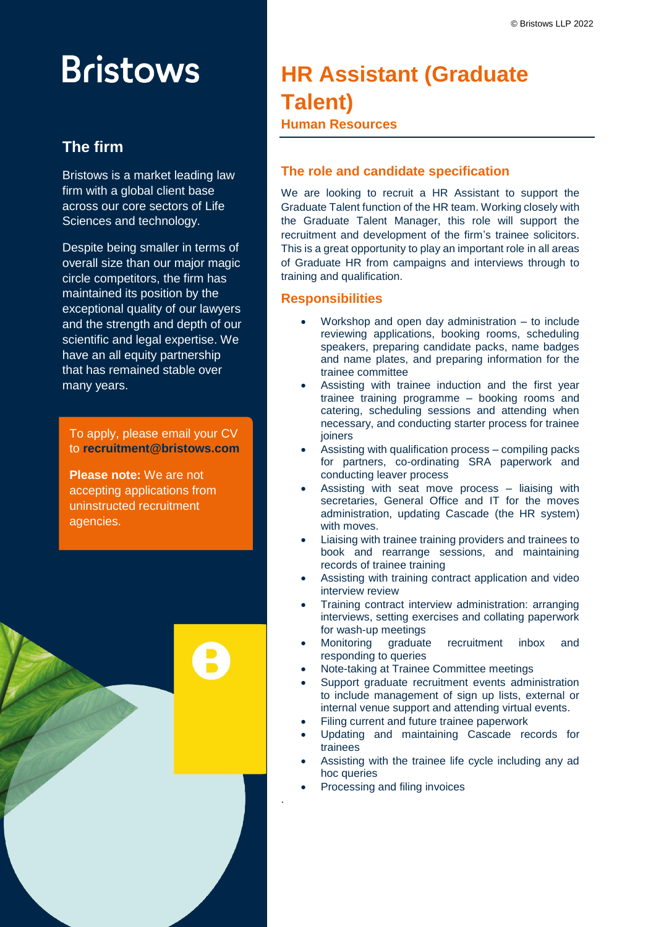# **Bristows**

# **The firm**

Bristows is a market leading law firm with a global client base across our core sectors of Life Sciences and technology.

Despite being smaller in terms of overall size than our major magic circle competitors, the firm has maintained its position by the exceptional quality of our lawyers and the strength and depth of our scientific and legal expertise. We have an all equity partnership that has remained stable over many years.

To apply, please email your CV to **recruitment@bristows.com**

**Please note:** We are not accepting applications from uninstructed recruitment agencies.



# **HR Assistant (Graduate Talent) Human Resources**

# **The role and candidate specification**

We are looking to recruit a HR Assistant to support the Graduate Talent function of the HR team. Working closely with the Graduate Talent Manager, this role will support the recruitment and development of the firm's trainee solicitors. This is a great opportunity to play an important role in all areas of Graduate HR from campaigns and interviews through to training and qualification.

## **Responsibilities**

- Workshop and open day administration to include reviewing applications, booking rooms, scheduling speakers, preparing candidate packs, name badges and name plates, and preparing information for the trainee committee
- Assisting with trainee induction and the first year trainee training programme – booking rooms and catering, scheduling sessions and attending when necessary, and conducting starter process for trainee joiners
- Assisting with qualification process compiling packs for partners, co-ordinating SRA paperwork and conducting leaver process
- Assisting with seat move process liaising with secretaries, General Office and IT for the moves administration, updating Cascade (the HR system) with moves.
- Liaising with trainee training providers and trainees to book and rearrange sessions, and maintaining records of trainee training
- Assisting with training contract application and video interview review
- Training contract interview administration: arranging interviews, setting exercises and collating paperwork for wash-up meetings
- Monitoring graduate recruitment inbox and responding to queries
- Note-taking at Trainee Committee meetings
- Support graduate recruitment events administration to include management of sign up lists, external or internal venue support and attending virtual events.
- Filing current and future trainee paperwork
- Updating and maintaining Cascade records for trainees
- Assisting with the trainee life cycle including any ad hoc queries
- Processing and filing invoices

.